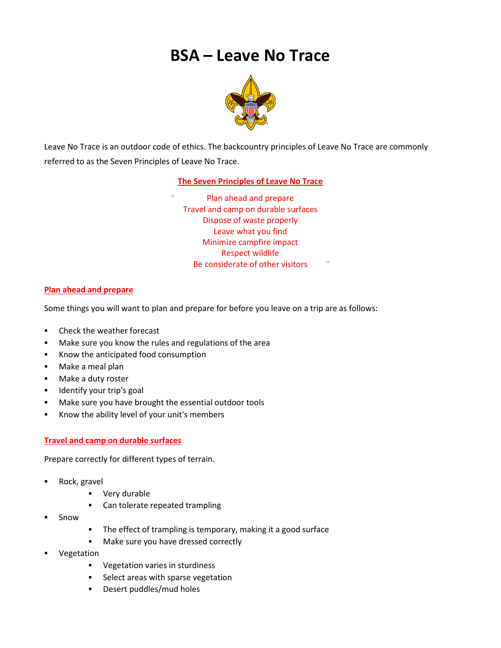# **BSA – Leave No Trace**



Leave No Trace is an outdoor code of ethics. The backcountry principles of Leave No Trace are commonly referred to as the Seven Principles of Leave No Trace.

## **The Seven Principles of Leave No Trace**

**Plan ahead and prepare** Travel and camp on durable surfaces Dispose of waste properly Leave what you find Minimize campfire impact Respect wildlife Be considerate of other visitors **"**

## **Plan ahead and prepare**

Some things you will want to plan and prepare for before you leave on a trip are as follows:

- Check the weather forecast
- Make sure you know the rules and regulations of the area
- Know the anticipated food consumption
- Make a meal plan
- Make a duty roster
- **If** Identify your trip's goal
- **Make sure you have brought the essential outdoor tools**
- Know the ability level of your unit's members

#### **Travel and camp on durable surfaces**

Prepare correctly for different types of terrain.

- Rock, gravel
	- **very durable**
	- Can tolerate repeated trampling
- Snow
- **The effect of trampling is temporary, making it a good surface**
- **Make sure you have dressed correctly**
- Vegetation
	- **•** Vegetation varies in sturdiness
	- **Select areas with sparse vegetation**
	- **-** Desert puddles/mud holes